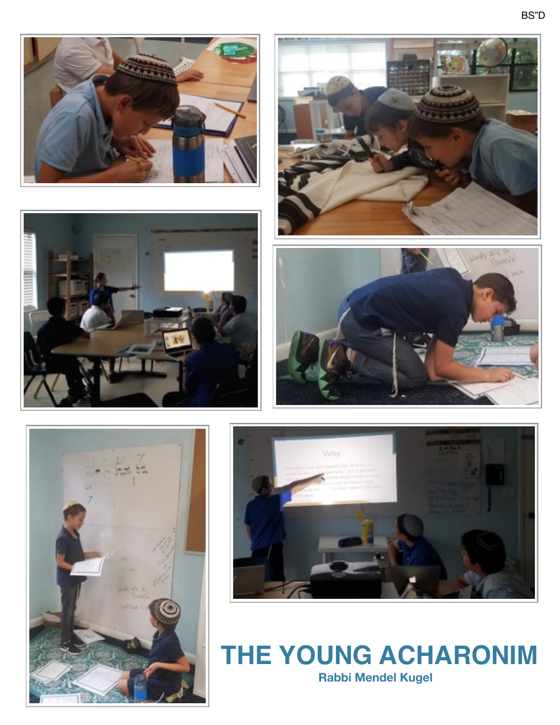











 **THE YOUNG ACHARONIM Rabbi Mendel Kugel**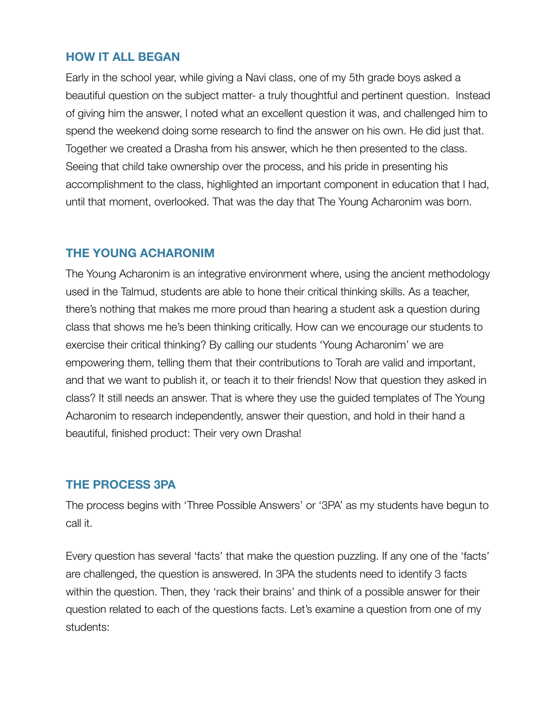### **HOW IT ALL BEGAN**

Early in the school year, while giving a Navi class, one of my 5th grade boys asked a beautiful question on the subject matter- a truly thoughtful and pertinent question. Instead of giving him the answer, I noted what an excellent question it was, and challenged him to spend the weekend doing some research to find the answer on his own. He did just that. Together we created a Drasha from his answer, which he then presented to the class. Seeing that child take ownership over the process, and his pride in presenting his accomplishment to the class, highlighted an important component in education that I had, until that moment, overlooked. That was the day that The Young Acharonim was born.

## **THE YOUNG ACHARONIM**

The Young Acharonim is an integrative environment where, using the ancient methodology used in the Talmud, students are able to hone their critical thinking skills. As a teacher, there's nothing that makes me more proud than hearing a student ask a question during class that shows me he's been thinking critically. How can we encourage our students to exercise their critical thinking? By calling our students 'Young Acharonim' we are empowering them, telling them that their contributions to Torah are valid and important, and that we want to publish it, or teach it to their friends! Now that question they asked in class? It still needs an answer. That is where they use the guided templates of The Young Acharonim to research independently, answer their question, and hold in their hand a beautiful, finished product: Their very own Drasha!

#### **THE PROCESS 3PA**

The process begins with 'Three Possible Answers' or '3PA' as my students have begun to call it.

Every question has several 'facts' that make the question puzzling. If any one of the 'facts' are challenged, the question is answered. In 3PA the students need to identify 3 facts within the question. Then, they 'rack their brains' and think of a possible answer for their question related to each of the questions facts. Let's examine a question from one of my students: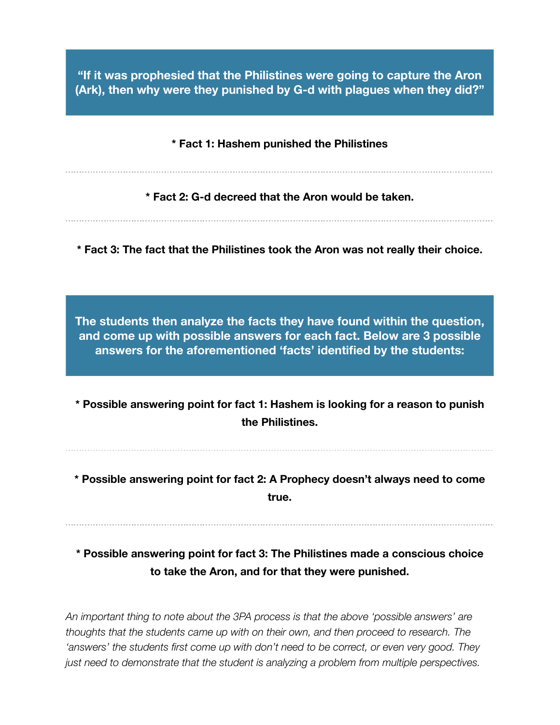**"If it was prophesied that the Philistines were going to capture the Aron (Ark), then why were they punished by G-d with plagues when they did?"** 

**\* Fact 1: Hashem punished the Philistines** 

**\* Fact 2: G-d decreed that the Aron would be taken.** 

**\* Fact 3: The fact that the Philistines took the Aron was not really their choice.** 

**The students then analyze the facts they have found within the question, and come up with possible answers for each fact. Below are 3 possible answers for the aforementioned 'facts' identified by the students:** 

**\* Possible answering point for fact 1: Hashem is looking for a reason to punish the Philistines.** 

**\* Possible answering point for fact 2: A Prophecy doesn't always need to come true.** 

**\* Possible answering point for fact 3: The Philistines made a conscious choice to take the Aron, and for that they were punished.** 

*An important thing to note about the 3PA process is that the above 'possible answers' are thoughts that the students came up with on their own, and then proceed to research. The 'answers' the students first come up with don't need to be correct, or even very good. They just need to demonstrate that the student is analyzing a problem from multiple perspectives.*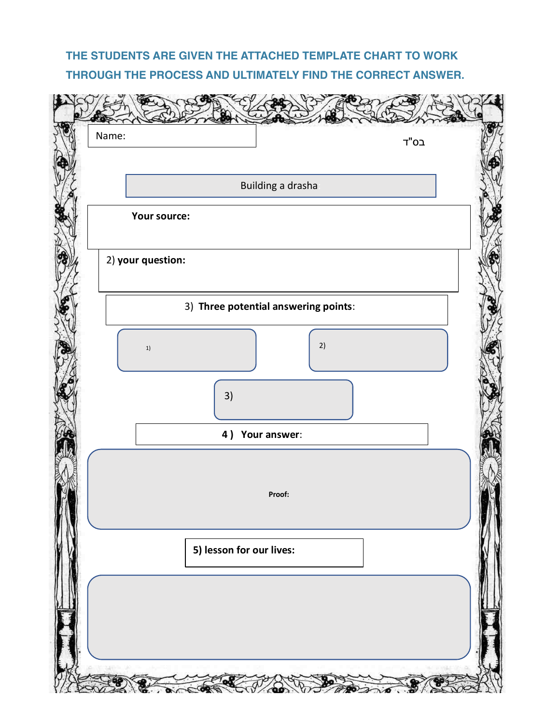# **THE STUDENTS ARE GIVEN THE ATTACHED TEMPLATE CHART TO WORK THROUGH THE PROCESS AND ULTIMATELY FIND THE CORRECT ANSWER.**

| Name:             | בס"ד                                 |
|-------------------|--------------------------------------|
|                   | Building a drasha                    |
| Your source:      |                                      |
|                   |                                      |
| 2) your question: |                                      |
|                   |                                      |
|                   | 3) Three potential answering points: |
| $1) \,$           | 2)                                   |
| 3)                |                                      |
|                   | 4) Your answer:                      |
|                   |                                      |
|                   | Proof:                               |
|                   |                                      |
|                   | 5) lesson for our lives:             |
|                   |                                      |
|                   |                                      |
|                   |                                      |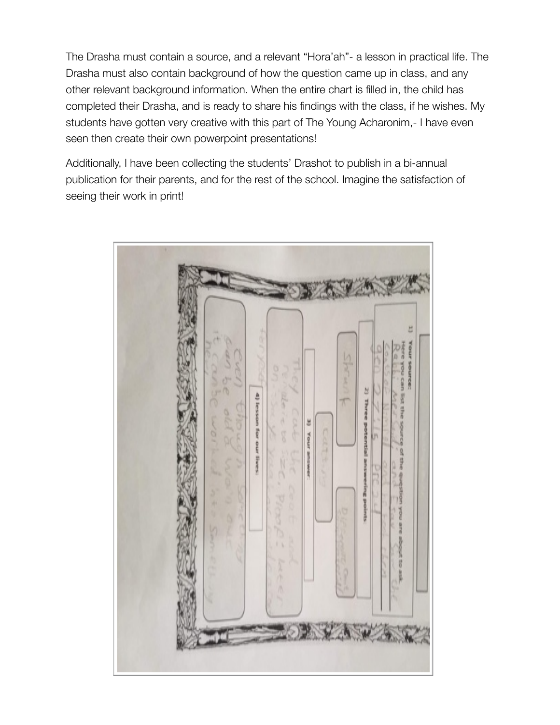The Drasha must contain a source, and a relevant "Hora'ah"- a lesson in practical life. The Drasha must also contain background of how the question came up in class, and any other relevant background information. When the entire chart is filled in, the child has completed their Drasha, and is ready to share his findings with the class, if he wishes. My students have gotten very creative with this part of The Young Acharonim,- I have even seen then create their own powerpoint presentations!

Additionally, I have been collecting the students' Drashot to publish in a bi-annual publication for their parents, and for the rest of the school. Imagine the satisfaction of seeing their work in print!